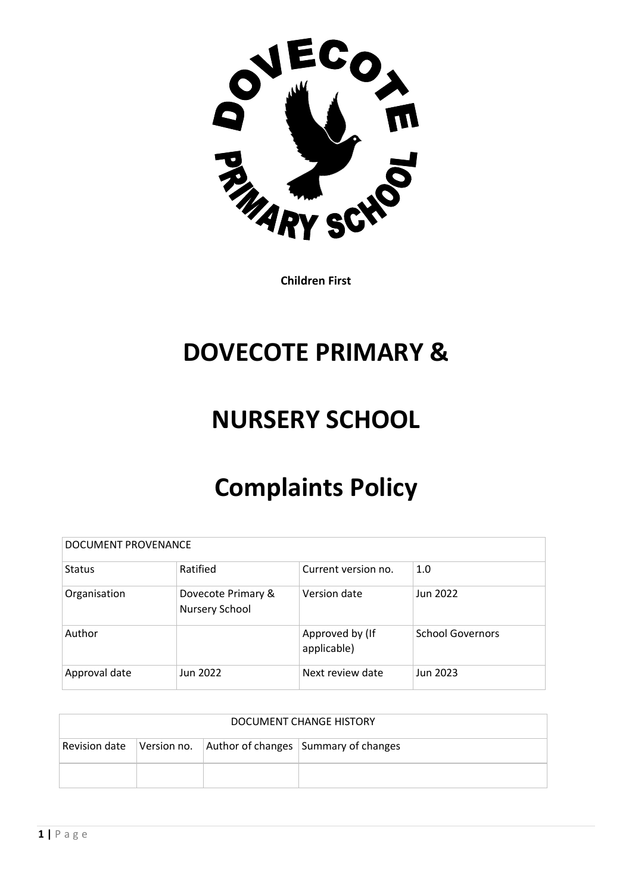

**Children First**

# **DOVECOTE PRIMARY &**

# **NURSERY SCHOOL**

# **Complaints Policy**

| DOCUMENT PROVENANCE |                                      |                                |                         |  |
|---------------------|--------------------------------------|--------------------------------|-------------------------|--|
| <b>Status</b>       | Ratified                             | Current version no.            | 1.0                     |  |
| Organisation        | Dovecote Primary &<br>Nursery School | Version date                   | Jun 2022                |  |
| Author              |                                      | Approved by (If<br>applicable) | <b>School Governors</b> |  |
| Approval date       | Jun 2022                             | Next review date               | Jun 2023                |  |

| DOCUMENT CHANGE HISTORY |  |  |                                                                |  |  |
|-------------------------|--|--|----------------------------------------------------------------|--|--|
|                         |  |  | Revision date Version no. Author of changes Summary of changes |  |  |
|                         |  |  |                                                                |  |  |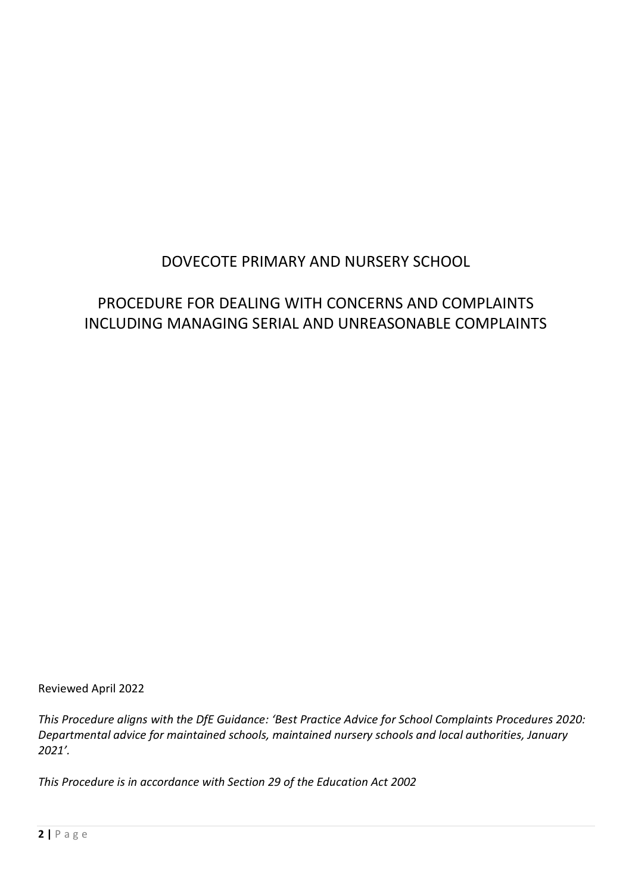# DOVECOTE PRIMARY AND NURSERY SCHOOL

# PROCEDURE FOR DEALING WITH CONCERNS AND COMPLAINTS INCLUDING MANAGING SERIAL AND UNREASONABLE COMPLAINTS

Reviewed April 2022

*This Procedure aligns with the DfE Guidance: 'Best Practice Advice for School Complaints Procedures 2020: Departmental advice for maintained schools, maintained nursery schools and local authorities, January 2021'.*

*This Procedure is in accordance with Section 29 of the Education Act 2002*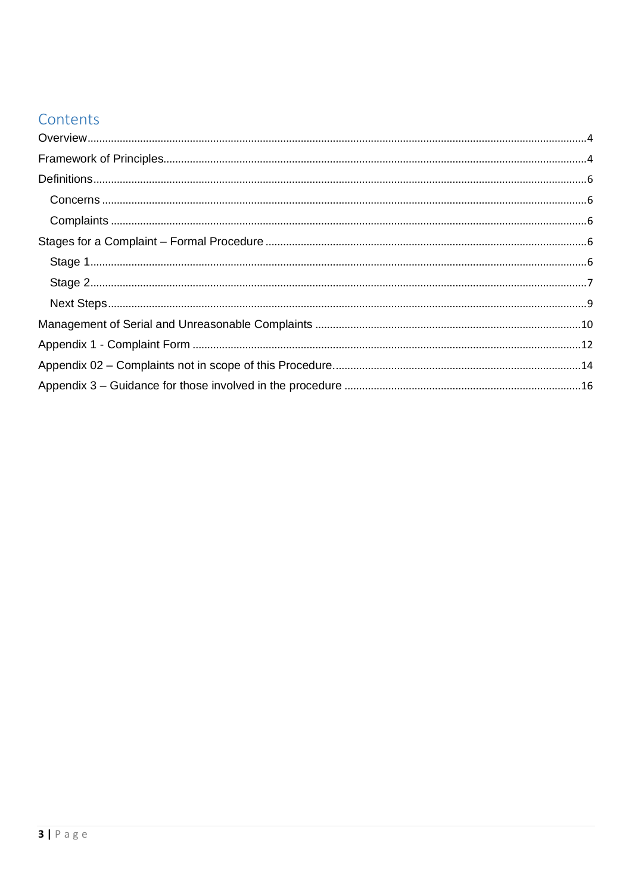# Contents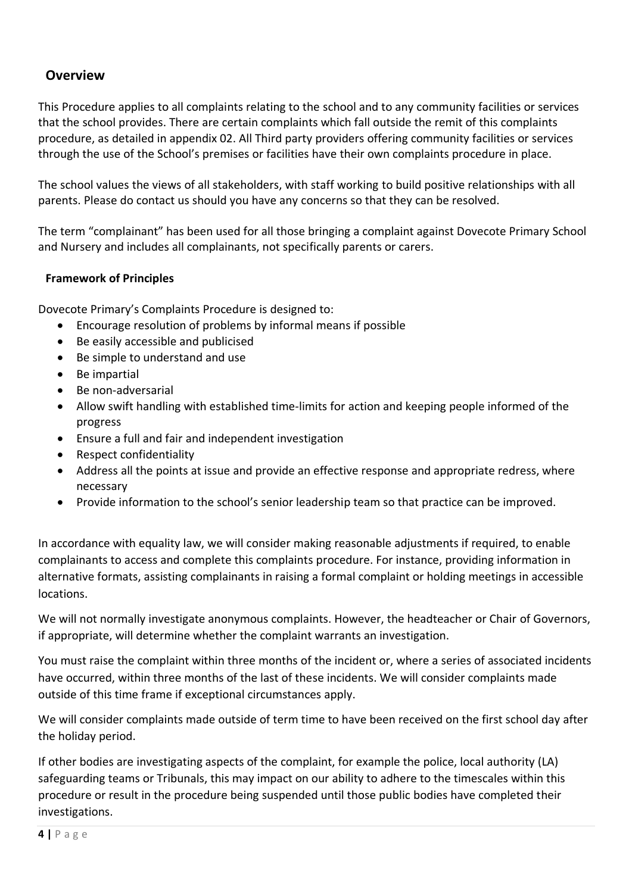# <span id="page-3-0"></span>**Overview**

This Procedure applies to all complaints relating to the school and to any community facilities or services that the school provides. There are certain complaints which fall outside the remit of this complaints procedure, as detailed in appendix 02. All Third party providers offering community facilities or services through the use of the School's premises or facilities have their own complaints procedure in place.

The school values the views of all stakeholders, with staff working to build positive relationships with all parents. Please do contact us should you have any concerns so that they can be resolved.

The term "complainant" has been used for all those bringing a complaint against Dovecote Primary School and Nursery and includes all complainants, not specifically parents or carers.

# <span id="page-3-1"></span>**Framework of Principles**

Dovecote Primary's Complaints Procedure is designed to:

- Encourage resolution of problems by informal means if possible
- Be easily accessible and publicised
- Be simple to understand and use
- Be impartial
- Be non-adversarial
- Allow swift handling with established time-limits for action and keeping people informed of the progress
- Ensure a full and fair and independent investigation
- Respect confidentiality
- Address all the points at issue and provide an effective response and appropriate redress, where necessary
- Provide information to the school's senior leadership team so that practice can be improved.

In accordance with equality law, we will consider making reasonable adjustments if required, to enable complainants to access and complete this complaints procedure. For instance, providing information in alternative formats, assisting complainants in raising a formal complaint or holding meetings in accessible locations.

We will not normally investigate anonymous complaints. However, the headteacher or Chair of Governors, if appropriate, will determine whether the complaint warrants an investigation.

You must raise the complaint within three months of the incident or, where a series of associated incidents have occurred, within three months of the last of these incidents. We will consider complaints made outside of this time frame if exceptional circumstances apply.

We will consider complaints made outside of term time to have been received on the first school day after the holiday period.

If other bodies are investigating aspects of the complaint, for example the police, local authority (LA) safeguarding teams or Tribunals, this may impact on our ability to adhere to the timescales within this procedure or result in the procedure being suspended until those public bodies have completed their investigations.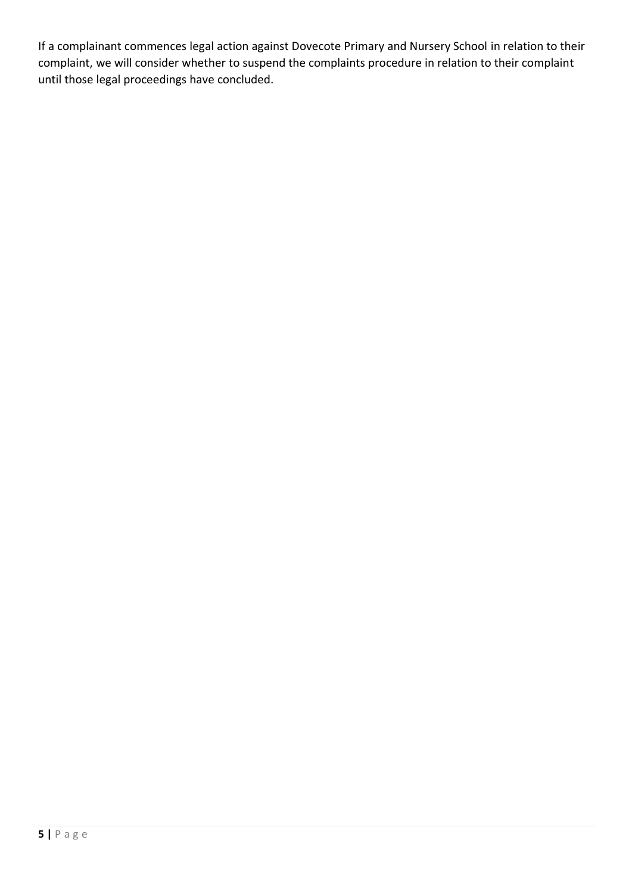If a complainant commences legal action against Dovecote Primary and Nursery School in relation to their complaint, we will consider whether to suspend the complaints procedure in relation to their complaint until those legal proceedings have concluded.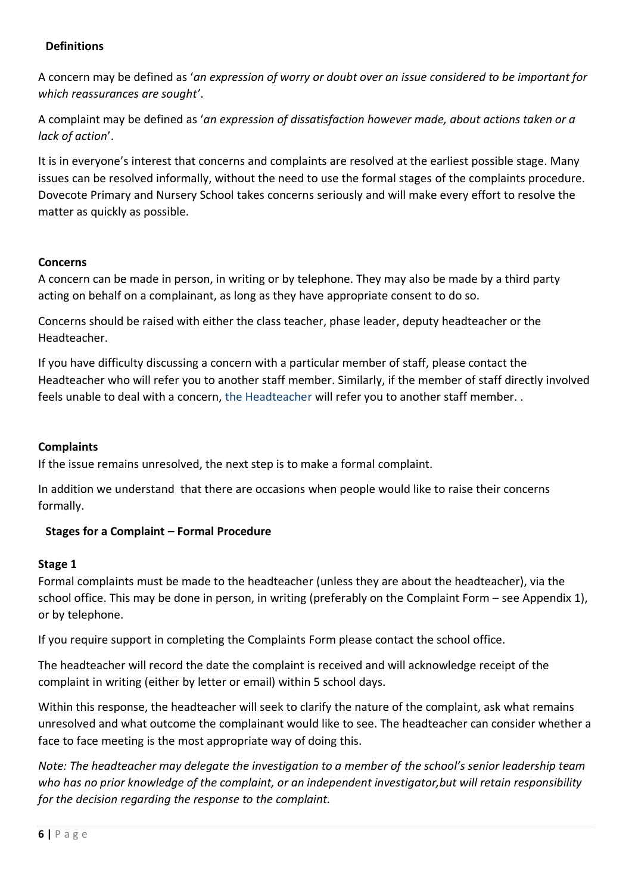## <span id="page-5-0"></span>**Definitions**

A concern may be defined as '*an expression of worry or doubt over an issue considered to be important for which reassurances are sought'*.

A complaint may be defined as '*an expression of dissatisfaction however made, about actions taken or a lack of action*'.

It is in everyone's interest that concerns and complaints are resolved at the earliest possible stage. Many issues can be resolved informally, without the need to use the formal stages of the complaints procedure. Dovecote Primary and Nursery School takes concerns seriously and will make every effort to resolve the matter as quickly as possible.

## <span id="page-5-1"></span>**Concerns**

A concern can be made in person, in writing or by telephone. They may also be made by a third party acting on behalf on a complainant, as long as they have appropriate consent to do so.

Concerns should be raised with either the class teacher, phase leader, deputy headteacher or the Headteacher.

If you have difficulty discussing a concern with a particular member of staff, please contact the Headteacher who will refer you to another staff member. Similarly, if the member of staff directly involved feels unable to deal with a concern, the Headteacher will refer you to another staff member. .

## <span id="page-5-2"></span>**Complaints**

If the issue remains unresolved, the next step is to make a formal complaint.

In addition we understand that there are occasions when people would like to raise their concerns formally.

# <span id="page-5-3"></span>**Stages for a Complaint – Formal Procedure**

## <span id="page-5-4"></span>**Stage 1**

Formal complaints must be made to the headteacher (unless they are about the headteacher), via the school office. This may be done in person, in writing (preferably on the Complaint Form – see Appendix 1), or by telephone.

If you require support in completing the Complaints Form please contact the school office.

The headteacher will record the date the complaint is received and will acknowledge receipt of the complaint in writing (either by letter or email) within 5 school days.

Within this response, the headteacher will seek to clarify the nature of the complaint, ask what remains unresolved and what outcome the complainant would like to see. The headteacher can consider whether a face to face meeting is the most appropriate way of doing this.

*Note: The headteacher may delegate the investigation to a member of the school's senior leadership team who has no prior knowledge of the complaint, or an independent investigator,but will retain responsibility for the decision regarding the response to the complaint.*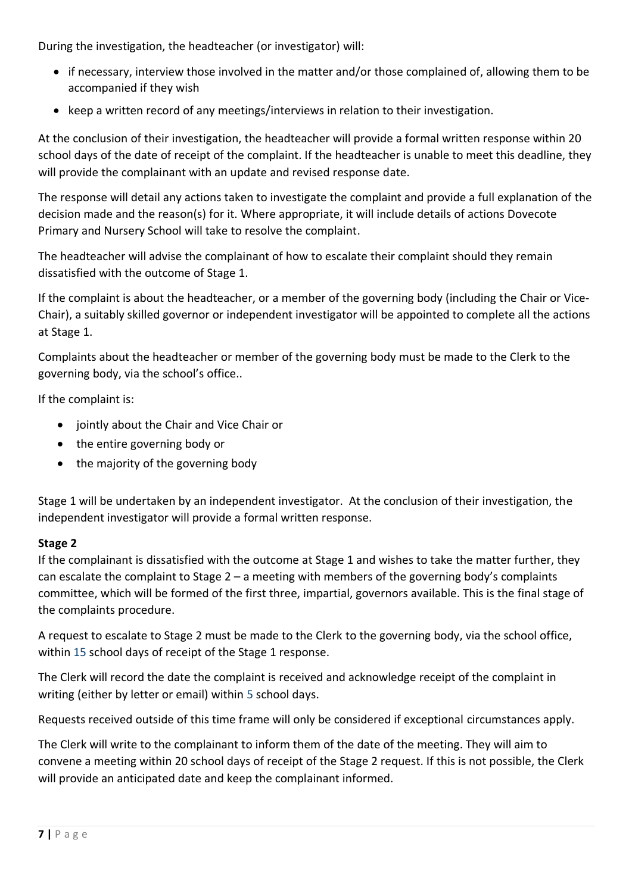During the investigation, the headteacher (or investigator) will:

- if necessary, interview those involved in the matter and/or those complained of, allowing them to be accompanied if they wish
- keep a written record of any meetings/interviews in relation to their investigation.

At the conclusion of their investigation, the headteacher will provide a formal written response within 20 school days of the date of receipt of the complaint. If the headteacher is unable to meet this deadline, they will provide the complainant with an update and revised response date.

The response will detail any actions taken to investigate the complaint and provide a full explanation of the decision made and the reason(s) for it. Where appropriate, it will include details of actions Dovecote Primary and Nursery School will take to resolve the complaint.

The headteacher will advise the complainant of how to escalate their complaint should they remain dissatisfied with the outcome of Stage 1.

If the complaint is about the headteacher, or a member of the governing body (including the Chair or Vice-Chair), a suitably skilled governor or independent investigator will be appointed to complete all the actions at Stage 1.

Complaints about the headteacher or member of the governing body must be made to the Clerk to the governing body, via the school's office..

If the complaint is:

- jointly about the Chair and Vice Chair or
- the entire governing body or
- the majority of the governing body

Stage 1 will be undertaken by an independent investigator. At the conclusion of their investigation, the independent investigator will provide a formal written response.

# <span id="page-6-0"></span>**Stage 2**

If the complainant is dissatisfied with the outcome at Stage 1 and wishes to take the matter further, they can escalate the complaint to Stage 2 – a meeting with members of the governing body's complaints committee, which will be formed of the first three, impartial, governors available. This is the final stage of the complaints procedure.

A request to escalate to Stage 2 must be made to the Clerk to the governing body, via the school office, within 15 school days of receipt of the Stage 1 response.

The Clerk will record the date the complaint is received and acknowledge receipt of the complaint in writing (either by letter or email) within 5 school days.

Requests received outside of this time frame will only be considered if exceptional circumstances apply.

The Clerk will write to the complainant to inform them of the date of the meeting. They will aim to convene a meeting within 20 school days of receipt of the Stage 2 request. If this is not possible, the Clerk will provide an anticipated date and keep the complainant informed.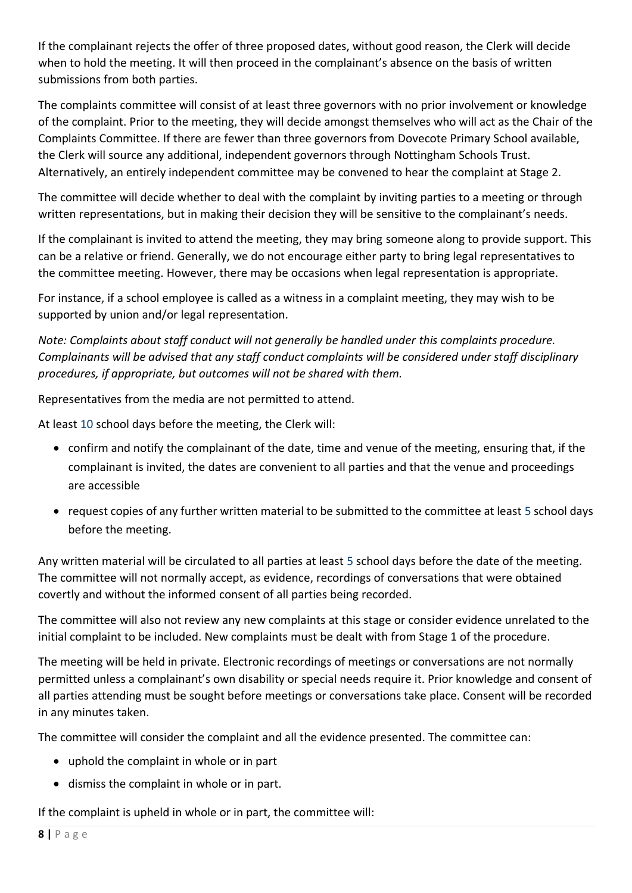If the complainant rejects the offer of three proposed dates, without good reason, the Clerk will decide when to hold the meeting. It will then proceed in the complainant's absence on the basis of written submissions from both parties.

The complaints committee will consist of at least three governors with no prior involvement or knowledge of the complaint. Prior to the meeting, they will decide amongst themselves who will act as the Chair of the Complaints Committee. If there are fewer than three governors from Dovecote Primary School available, the Clerk will source any additional, independent governors through Nottingham Schools Trust. Alternatively, an entirely independent committee may be convened to hear the complaint at Stage 2.

The committee will decide whether to deal with the complaint by inviting parties to a meeting or through written representations, but in making their decision they will be sensitive to the complainant's needs.

If the complainant is invited to attend the meeting, they may bring someone along to provide support. This can be a relative or friend. Generally, we do not encourage either party to bring legal representatives to the committee meeting. However, there may be occasions when legal representation is appropriate.

For instance, if a school employee is called as a witness in a complaint meeting, they may wish to be supported by union and/or legal representation.

*Note: Complaints about staff conduct will not generally be handled under this complaints procedure. Complainants will be advised that any staff conduct complaints will be considered under staff disciplinary procedures, if appropriate, but outcomes will not be shared with them.* 

Representatives from the media are not permitted to attend.

At least 10 school days before the meeting, the Clerk will:

- confirm and notify the complainant of the date, time and venue of the meeting, ensuring that, if the complainant is invited, the dates are convenient to all parties and that the venue and proceedings are accessible
- request copies of any further written material to be submitted to the committee at least 5 school days before the meeting.

Any written material will be circulated to all parties at least 5 school days before the date of the meeting. The committee will not normally accept, as evidence, recordings of conversations that were obtained covertly and without the informed consent of all parties being recorded.

The committee will also not review any new complaints at this stage or consider evidence unrelated to the initial complaint to be included. New complaints must be dealt with from Stage 1 of the procedure.

The meeting will be held in private. Electronic recordings of meetings or conversations are not normally permitted unless a complainant's own disability or special needs require it. Prior knowledge and consent of all parties attending must be sought before meetings or conversations take place. Consent will be recorded in any minutes taken.

The committee will consider the complaint and all the evidence presented. The committee can:

- uphold the complaint in whole or in part
- dismiss the complaint in whole or in part.

If the complaint is upheld in whole or in part, the committee will: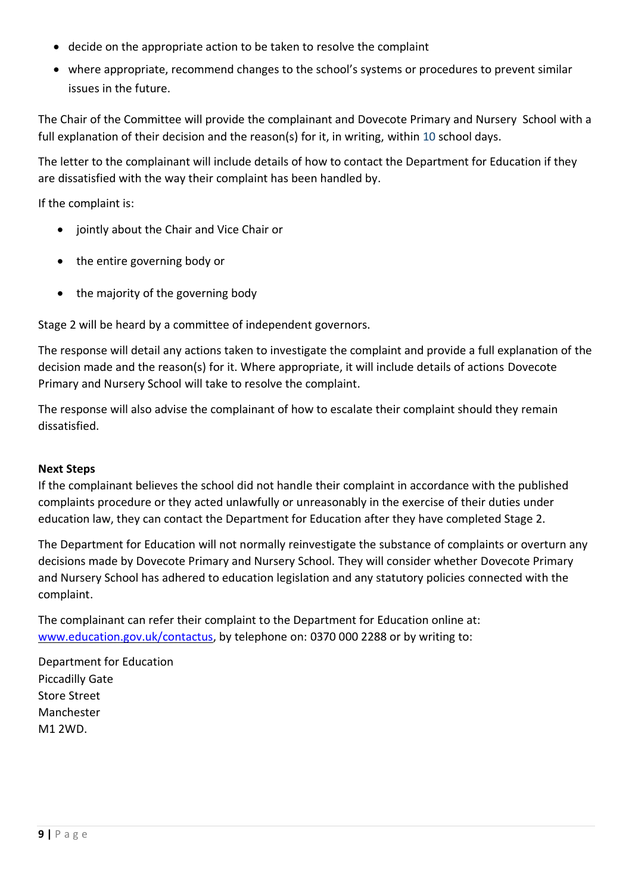- decide on the appropriate action to be taken to resolve the complaint
- where appropriate, recommend changes to the school's systems or procedures to prevent similar issues in the future.

The Chair of the Committee will provide the complainant and Dovecote Primary and Nursery School with a full explanation of their decision and the reason(s) for it, in writing, within 10 school days.

The letter to the complainant will include details of how to contact the Department for Education if they are dissatisfied with the way their complaint has been handled by.

If the complaint is:

- jointly about the Chair and Vice Chair or
- the entire governing body or
- the majority of the governing body

Stage 2 will be heard by a committee of independent governors.

The response will detail any actions taken to investigate the complaint and provide a full explanation of the decision made and the reason(s) for it. Where appropriate, it will include details of actions Dovecote Primary and Nursery School will take to resolve the complaint.

The response will also advise the complainant of how to escalate their complaint should they remain dissatisfied.

#### <span id="page-8-0"></span>**Next Steps**

If the complainant believes the school did not handle their complaint in accordance with the published complaints procedure or they acted unlawfully or unreasonably in the exercise of their duties under education law, they can contact the Department for Education after they have completed Stage 2.

The Department for Education will not normally reinvestigate the substance of complaints or overturn any decisions made by Dovecote Primary and Nursery School. They will consider whether Dovecote Primary and Nursery School has adhered to education legislation and any statutory policies connected with the complaint.

The complainant can refer their complaint to the Department for Education online at: [www.education.gov.uk/contactus,](http://www.education.gov.uk/contactus) by telephone on: 0370 000 2288 or by writing to:

Department for Education Piccadilly Gate Store Street Manchester M1 2WD.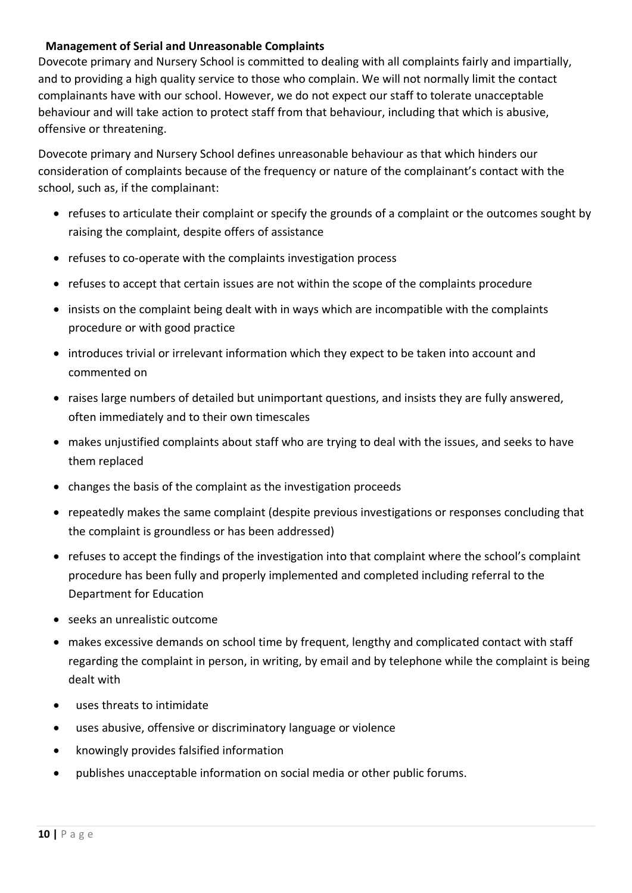## <span id="page-9-0"></span>**Management of Serial and Unreasonable Complaints**

Dovecote primary and Nursery School is committed to dealing with all complaints fairly and impartially, and to providing a high quality service to those who complain. We will not normally limit the contact complainants have with our school. However, we do not expect our staff to tolerate unacceptable behaviour and will take action to protect staff from that behaviour, including that which is abusive, offensive or threatening.

Dovecote primary and Nursery School defines unreasonable behaviour as that which hinders our consideration of complaints because of the frequency or nature of the complainant's contact with the school, such as, if the complainant:

- refuses to articulate their complaint or specify the grounds of a complaint or the outcomes sought by raising the complaint, despite offers of assistance
- refuses to co-operate with the complaints investigation process
- refuses to accept that certain issues are not within the scope of the complaints procedure
- insists on the complaint being dealt with in ways which are incompatible with the complaints procedure or with good practice
- introduces trivial or irrelevant information which they expect to be taken into account and commented on
- raises large numbers of detailed but unimportant questions, and insists they are fully answered, often immediately and to their own timescales
- makes unjustified complaints about staff who are trying to deal with the issues, and seeks to have them replaced
- changes the basis of the complaint as the investigation proceeds
- repeatedly makes the same complaint (despite previous investigations or responses concluding that the complaint is groundless or has been addressed)
- refuses to accept the findings of the investigation into that complaint where the school's complaint procedure has been fully and properly implemented and completed including referral to the Department for Education
- seeks an unrealistic outcome
- makes excessive demands on school time by frequent, lengthy and complicated contact with staff regarding the complaint in person, in writing, by email and by telephone while the complaint is being dealt with
- uses threats to intimidate
- uses abusive, offensive or discriminatory language or violence
- knowingly provides falsified information
- publishes unacceptable information on social media or other public forums.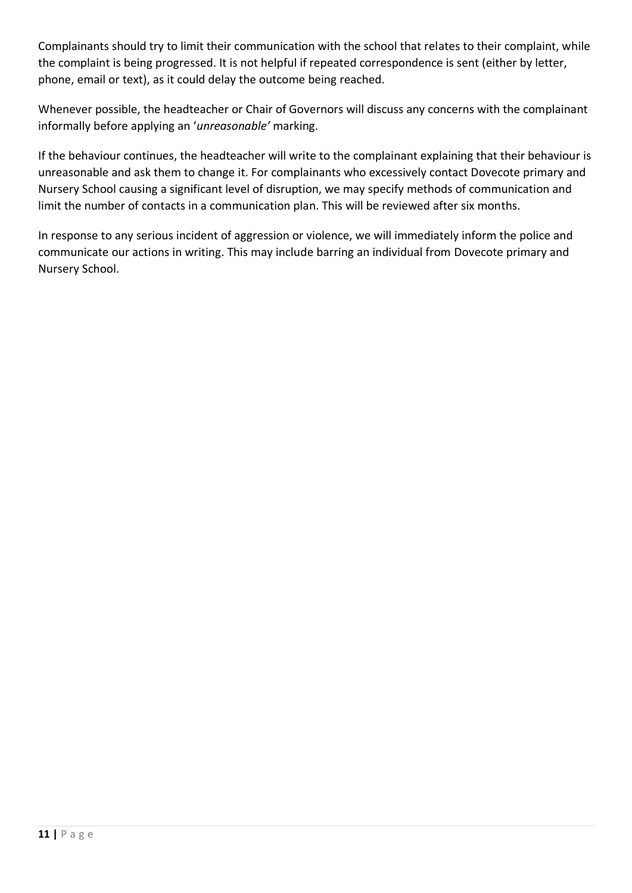Complainants should try to limit their communication with the school that relates to their complaint, while the complaint is being progressed. It is not helpful if repeated correspondence is sent (either by letter, phone, email or text), as it could delay the outcome being reached.

Whenever possible, the headteacher or Chair of Governors will discuss any concerns with the complainant informally before applying an '*unreasonable'* marking.

If the behaviour continues, the headteacher will write to the complainant explaining that their behaviour is unreasonable and ask them to change it. For complainants who excessively contact Dovecote primary and Nursery School causing a significant level of disruption, we may specify methods of communication and limit the number of contacts in a communication plan. This will be reviewed after six months.

In response to any serious incident of aggression or violence, we will immediately inform the police and communicate our actions in writing. This may include barring an individual from Dovecote primary and Nursery School.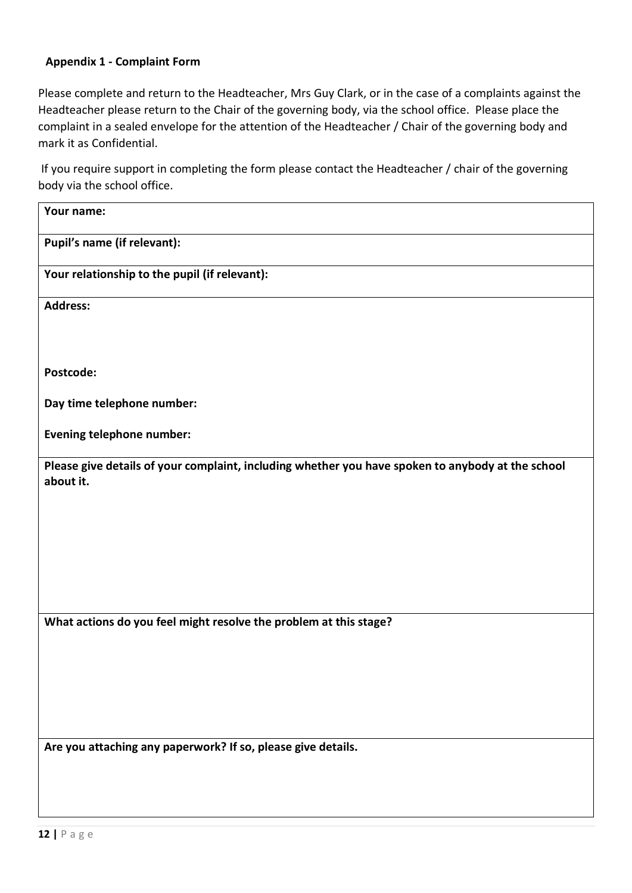#### <span id="page-11-0"></span>**Appendix 1 - Complaint Form**

Please complete and return to the Headteacher, Mrs Guy Clark, or in the case of a complaints against the Headteacher please return to the Chair of the governing body, via the school office. Please place the complaint in a sealed envelope for the attention of the Headteacher / Chair of the governing body and mark it as Confidential.

If you require support in completing the form please contact the Headteacher / chair of the governing body via the school office.

| Your name:                                                                                                     |
|----------------------------------------------------------------------------------------------------------------|
| Pupil's name (if relevant):                                                                                    |
| Your relationship to the pupil (if relevant):                                                                  |
| <b>Address:</b>                                                                                                |
|                                                                                                                |
| Postcode:                                                                                                      |
| Day time telephone number:                                                                                     |
| Evening telephone number:                                                                                      |
| Please give details of your complaint, including whether you have spoken to anybody at the school<br>about it. |
|                                                                                                                |
|                                                                                                                |
|                                                                                                                |
|                                                                                                                |
| What actions do you feel might resolve the problem at this stage?                                              |
|                                                                                                                |
|                                                                                                                |
|                                                                                                                |
| Are you attaching any paperwork? If so, please give details.                                                   |
|                                                                                                                |
|                                                                                                                |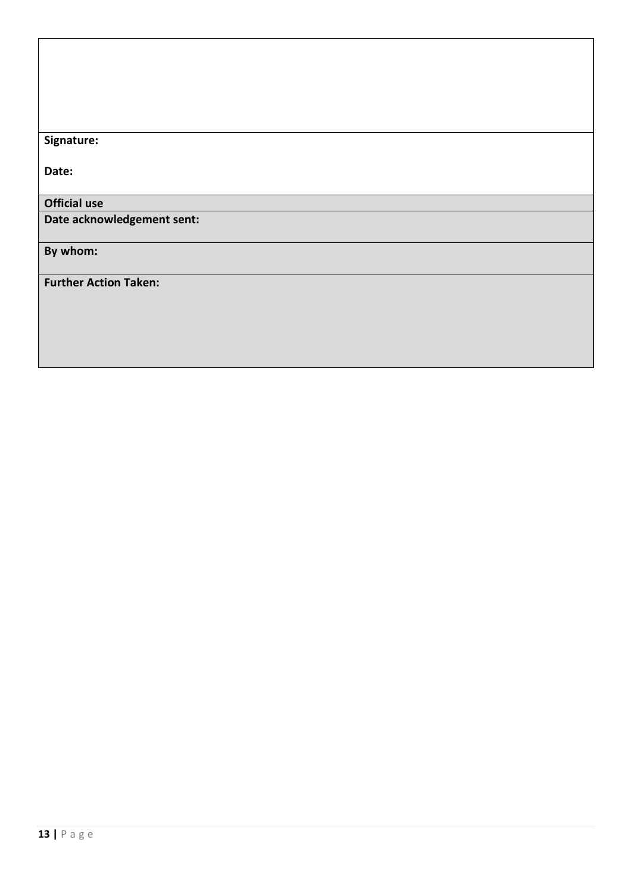**Signature:**

**Date:**

# **Official use**

**Date acknowledgement sent:**

**By whom:** 

**Further Action Taken:**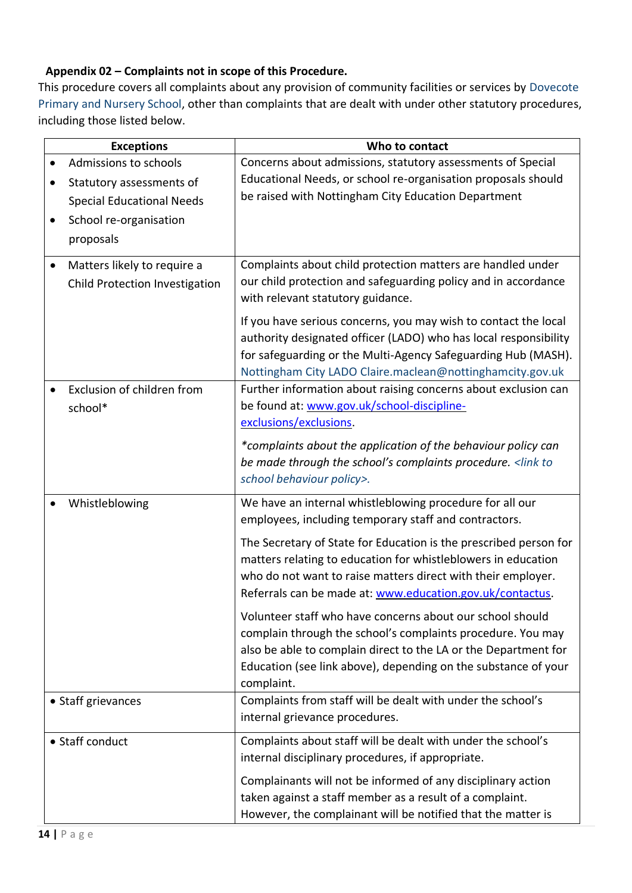# <span id="page-13-0"></span>**Appendix 02 – Complaints not in scope of this Procedure.**

This procedure covers all complaints about any provision of community facilities or services by Dovecote Primary and Nursery School, other than complaints that are dealt with under other statutory procedures, including those listed below.

| <b>Exceptions</b>                                                          | Who to contact                                                                                                                                                                                                                                                              |  |
|----------------------------------------------------------------------------|-----------------------------------------------------------------------------------------------------------------------------------------------------------------------------------------------------------------------------------------------------------------------------|--|
| Admissions to schools                                                      | Concerns about admissions, statutory assessments of Special                                                                                                                                                                                                                 |  |
| Statutory assessments of                                                   | Educational Needs, or school re-organisation proposals should                                                                                                                                                                                                               |  |
| <b>Special Educational Needs</b>                                           | be raised with Nottingham City Education Department                                                                                                                                                                                                                         |  |
| School re-organisation                                                     |                                                                                                                                                                                                                                                                             |  |
| proposals                                                                  |                                                                                                                                                                                                                                                                             |  |
| Matters likely to require a<br>$\bullet$<br>Child Protection Investigation | Complaints about child protection matters are handled under<br>our child protection and safeguarding policy and in accordance<br>with relevant statutory guidance.                                                                                                          |  |
|                                                                            | If you have serious concerns, you may wish to contact the local<br>authority designated officer (LADO) who has local responsibility<br>for safeguarding or the Multi-Agency Safeguarding Hub (MASH).<br>Nottingham City LADO Claire.maclean@nottinghamcity.gov.uk           |  |
| Exclusion of children from<br>school*                                      | Further information about raising concerns about exclusion can<br>be found at: www.gov.uk/school-discipline-<br>exclusions/exclusions.                                                                                                                                      |  |
|                                                                            | *complaints about the application of the behaviour policy can<br>be made through the school's complaints procedure. <link to<br=""/> school behaviour policy>.                                                                                                              |  |
| Whistleblowing                                                             | We have an internal whistleblowing procedure for all our<br>employees, including temporary staff and contractors.                                                                                                                                                           |  |
|                                                                            | The Secretary of State for Education is the prescribed person for<br>matters relating to education for whistleblowers in education<br>who do not want to raise matters direct with their employer.<br>Referrals can be made at: www.education.gov.uk/contactus.             |  |
|                                                                            | Volunteer staff who have concerns about our school should<br>complain through the school's complaints procedure. You may<br>also be able to complain direct to the LA or the Department for<br>Education (see link above), depending on the substance of your<br>complaint. |  |
| • Staff grievances                                                         | Complaints from staff will be dealt with under the school's<br>internal grievance procedures.                                                                                                                                                                               |  |
| • Staff conduct                                                            | Complaints about staff will be dealt with under the school's<br>internal disciplinary procedures, if appropriate.                                                                                                                                                           |  |
|                                                                            | Complainants will not be informed of any disciplinary action<br>taken against a staff member as a result of a complaint.<br>However, the complainant will be notified that the matter is                                                                                    |  |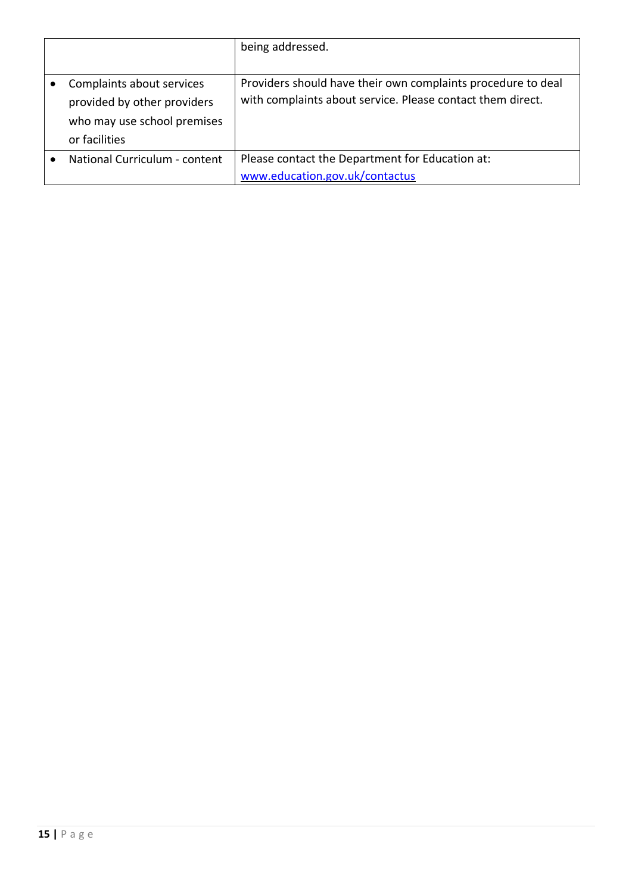|                               | being addressed.                                             |
|-------------------------------|--------------------------------------------------------------|
|                               |                                                              |
| Complaints about services     | Providers should have their own complaints procedure to deal |
| provided by other providers   | with complaints about service. Please contact them direct.   |
| who may use school premises   |                                                              |
| or facilities                 |                                                              |
| National Curriculum - content | Please contact the Department for Education at:              |
|                               | www.education.gov.uk/contactus                               |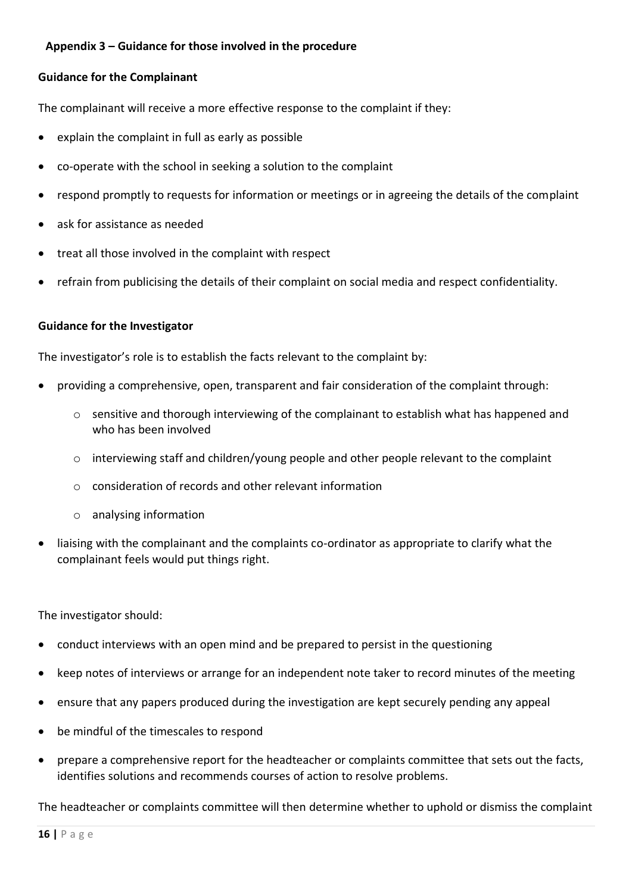## <span id="page-15-0"></span>**Appendix 3 – Guidance for those involved in the procedure**

#### **Guidance for the Complainant**

The complainant will receive a more effective response to the complaint if they:

- explain the complaint in full as early as possible
- co-operate with the school in seeking a solution to the complaint
- respond promptly to requests for information or meetings or in agreeing the details of the complaint
- ask for assistance as needed
- treat all those involved in the complaint with respect
- refrain from publicising the details of their complaint on social media and respect confidentiality.

#### **Guidance for the Investigator**

The investigator's role is to establish the facts relevant to the complaint by:

- providing a comprehensive, open, transparent and fair consideration of the complaint through:
	- $\circ$  sensitive and thorough interviewing of the complainant to establish what has happened and who has been involved
	- o interviewing staff and children/young people and other people relevant to the complaint
	- o consideration of records and other relevant information
	- o analysing information
- liaising with the complainant and the complaints co-ordinator as appropriate to clarify what the complainant feels would put things right.

The investigator should:

- conduct interviews with an open mind and be prepared to persist in the questioning
- keep notes of interviews or arrange for an independent note taker to record minutes of the meeting
- ensure that any papers produced during the investigation are kept securely pending any appeal
- be mindful of the timescales to respond
- prepare a comprehensive report for the headteacher or complaints committee that sets out the facts, identifies solutions and recommends courses of action to resolve problems.

The headteacher or complaints committee will then determine whether to uphold or dismiss the complaint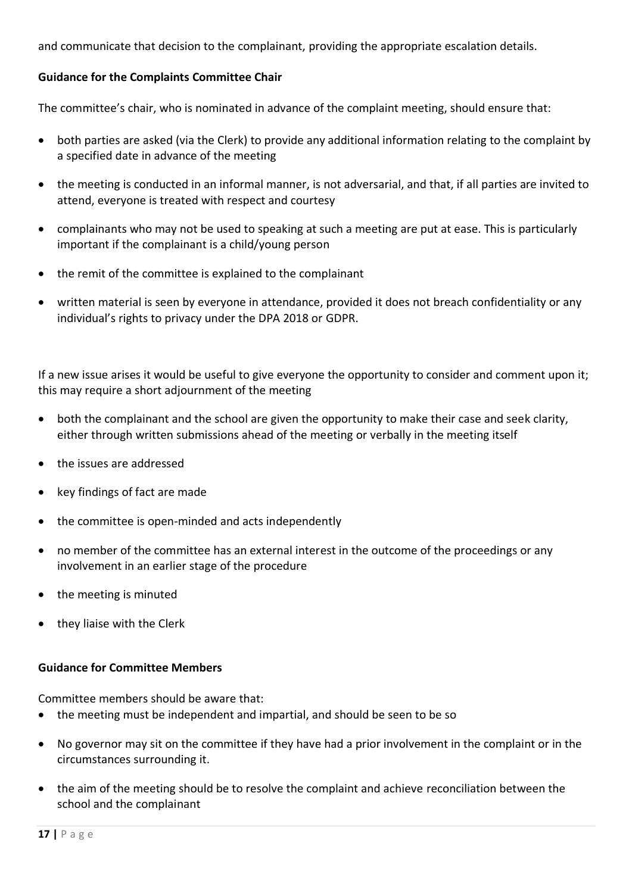and communicate that decision to the complainant, providing the appropriate escalation details.

#### **Guidance for the Complaints Committee Chair**

The committee's chair, who is nominated in advance of the complaint meeting, should ensure that:

- both parties are asked (via the Clerk) to provide any additional information relating to the complaint by a specified date in advance of the meeting
- the meeting is conducted in an informal manner, is not adversarial, and that, if all parties are invited to attend, everyone is treated with respect and courtesy
- complainants who may not be used to speaking at such a meeting are put at ease. This is particularly important if the complainant is a child/young person
- the remit of the committee is explained to the complainant
- written material is seen by everyone in attendance, provided it does not breach confidentiality or any individual's rights to privacy under the DPA 2018 or GDPR.

If a new issue arises it would be useful to give everyone the opportunity to consider and comment upon it; this may require a short adjournment of the meeting

- both the complainant and the school are given the opportunity to make their case and seek clarity, either through written submissions ahead of the meeting or verbally in the meeting itself
- the issues are addressed
- key findings of fact are made
- the committee is open-minded and acts independently
- no member of the committee has an external interest in the outcome of the proceedings or any involvement in an earlier stage of the procedure
- the meeting is minuted
- they liaise with the Clerk

#### **Guidance for Committee Members**

Committee members should be aware that:

- the meeting must be independent and impartial, and should be seen to be so
- No governor may sit on the committee if they have had a prior involvement in the complaint or in the circumstances surrounding it.
- the aim of the meeting should be to resolve the complaint and achieve reconciliation between the school and the complainant